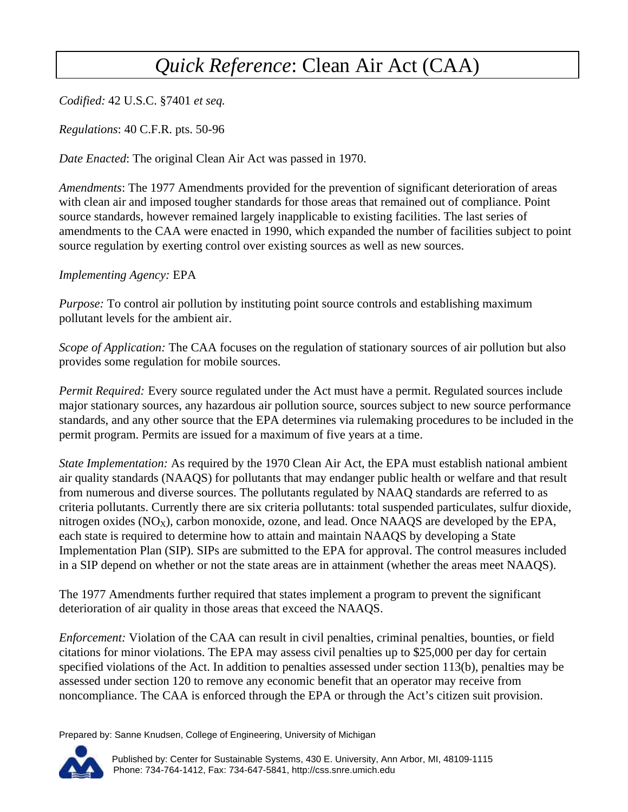## *Quick Reference*: Clean Air Act (CAA)

*Codified:* 42 U.S.C. §7401 *et seq.*

*Regulations*: 40 C.F.R. pts. 50-96

*Date Enacted*: The original Clean Air Act was passed in 1970.

*Amendments*: The 1977 Amendments provided for the prevention of significant deterioration of areas with clean air and imposed tougher standards for those areas that remained out of compliance. Point source standards, however remained largely inapplicable to existing facilities. The last series of amendments to the CAA were enacted in 1990, which expanded the number of facilities subject to point source regulation by exerting control over existing sources as well as new sources.

*Implementing Agency:* EPA

*Purpose:* To control air pollution by instituting point source controls and establishing maximum pollutant levels for the ambient air.

*Scope of Application:* The CAA focuses on the regulation of stationary sources of air pollution but also provides some regulation for mobile sources.

*Permit Required:* Every source regulated under the Act must have a permit. Regulated sources include major stationary sources, any hazardous air pollution source, sources subject to new source performance standards, and any other source that the EPA determines via rulemaking procedures to be included in the permit program. Permits are issued for a maximum of five years at a time.

*State Implementation:* As required by the 1970 Clean Air Act, the EPA must establish national ambient air quality standards (NAAQS) for pollutants that may endanger public health or welfare and that result from numerous and diverse sources. The pollutants regulated by NAAQ standards are referred to as criteria pollutants. Currently there are six criteria pollutants: total suspended particulates, sulfur dioxide, nitrogen oxides  $(NO_X)$ , carbon monoxide, ozone, and lead. Once NAAQS are developed by the EPA, each state is required to determine how to attain and maintain NAAQS by developing a State Implementation Plan (SIP). SIPs are submitted to the EPA for approval. The control measures included in a SIP depend on whether or not the state areas are in attainment (whether the areas meet NAAQS).

The 1977 Amendments further required that states implement a program to prevent the significant deterioration of air quality in those areas that exceed the NAAQS.

*Enforcement:* Violation of the CAA can result in civil penalties, criminal penalties, bounties, or field citations for minor violations. The EPA may assess civil penalties up to \$25,000 per day for certain specified violations of the Act. In addition to penalties assessed under section 113(b), penalties may be assessed under section 120 to remove any economic benefit that an operator may receive from noncompliance. The CAA is enforced through the EPA or through the Act's citizen suit provision.

Prepared by: Sanne Knudsen, College of Engineering, University of Michigan